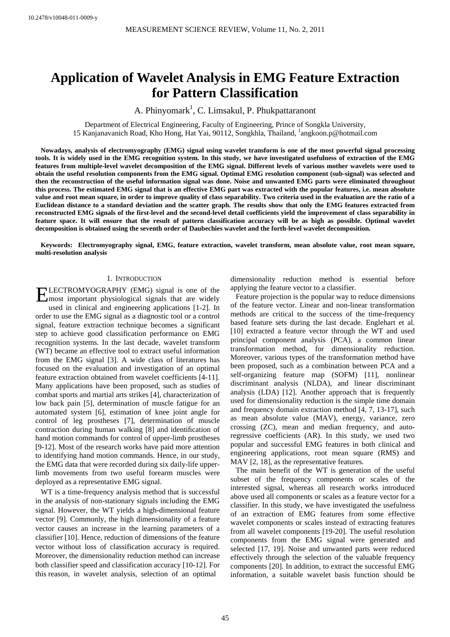# **Application of Wavelet Analysis in EMG Feature Extraction for Pattern Classification**

A. Phinyomark<sup>1</sup>, C. Limsakul, P. Phukpattaranont

Department of Electrical Engineering, Faculty of Engineering, Prince of Songkla University, 15 Kanjanavanich Road, Kho Hong, Hat Yai, 90112, Songkhla, Thailand, <sup>1</sup>angkoon.p@hotmail.com

**Nowadays, analysis of electromyography (EMG) signal using wavelet transform is one of the most powerful signal processing tools. It is widely used in the EMG recognition system. In this study, we have investigated usefulness of extraction of the EMG features from multiple-level wavelet decomposition of the EMG signal. Different levels of various mother wavelets were used to obtain the useful resolution components from the EMG signal. Optimal EMG resolution component (sub-signal) was selected and then the reconstruction of the useful information signal was done. Noise and unwanted EMG parts were eliminated throughout this process. The estimated EMG signal that is an effective EMG part was extracted with the popular features, i.e. mean absolute value and root mean square, in order to improve quality of class separability. Two criteria used in the evaluation are the ratio of a Euclidean distance to a standard deviation and the scatter graph. The results show that only the EMG features extracted from reconstructed EMG signals of the first-level and the second-level detail coefficients yield the improvement of class separability in feature space. It will ensure that the result of pattern classification accuracy will be as high as possible. Optimal wavelet decomposition is obtained using the seventh order of Daubechies wavelet and the forth-level wavelet decomposition.** 

**Keywords: Electromyography signal, EMG, feature extraction, wavelet transform, mean absolute value, root mean square, multi-resolution analysis** 

# 1. INTRODUCTION

LE CTROMYOGRAPHY (EMG) signal is one of the m ost important physiological signals that are widely

us ed in clinical and engineering applications [1-2]. In order to use the EMG signal as a diagnostic tool or a control signal, feature extraction technique becomes a significant step to achieve good classification performance on EMG recognition systems. In the last decade, wavelet transform (WT) became an effective tool to extract useful information from the EMG signal [3]. A wide class of literatures has focused on the evaluation and investigation of an optimal feature extraction obtained from wavelet coefficients [4-11]. Many applications have been proposed, such as studies of combat sports and martial arts strikes [4], characterization of low back pain [5], determination of muscle fatigue for an automated system [6], estimation of knee joint angle for control of leg prostheses [7], determination of muscle contraction during human walking [8] and identification of hand motion commands for control of upper-limb prostheses [9-12]. Most of the research works have paid more attention to identifying hand motion commands. Hence, in our study, the EMG data that were recorded during six daily-life upperlimb movements from two useful forearm muscles were deployed as a representative EMG signal. **ELECTROMYOGRAPHY** (EMG) signal is one of the most important physiological signals that are widely used in clinical and engineering appliciations [1-2]. In order to use the EMG signal as a diagnostic tool or a control<br>sign

WT is a time-frequency analysis method that is successful in the analysis of non-stationary signals including the EMG signal. However, the WT yields a high-dimensional feature vector [9]. Commonly, the high dimensionality of a feature vector causes an increase in the learning parameters of a classifier [10]. Hence, reduction of dimensions of the feature vector without loss of classification accuracy is required. Moreover, the dimensionality reduction method can increase both classifier speed and classification accuracy [10-12]. For this reason, in wavelet analysis, selection of an optimal

dimensionality reduction method is essential before applying the feature vector to a classifier.

Feature projection is the popular way to reduce dimensions of the feature vector. Linear and non-linear transformation methods are critical to the success of the time-frequency based feature sets during the last decade. Englehart et al. [10] extracted a feature vector through the WT and used principal component analysis (PCA), a common linear transformation method, for dimensionality reduction. Moreover, various types of the transformation method have been proposed, such as a combination between PCA and a self-organizing feature map (SOFM) [11], nonlinear discriminant analysis (NLDA), and linear discriminant analysis (LDA) [12]. Another approach that is frequently used for dimensionality reduction is the simple time domain and frequency domain extraction method [4, 7, 13-17], such as mean absolute value (MAV), energy, variance, zero crossing (ZC), mean and median frequency, and autoregressive coefficients (AR). In this study, we used two popular and successful EMG features in both clinical and engineering applications, root mean square (RMS) and MAV [2, 18], as the representative features.

The main benefit of the WT is generation of the useful subset of the frequency components or scales of the interested signal, whereas all research works introduced above used all components or scales as a feature vector for a classifier. In this study, we have investigated the usefulness of an extraction of EMG features from some effective wavelet components or scales instead of extracting features from all wavelet components [19-20]. The useful resolution components from the EMG signal were generated and selected [17, 19]. Noise and unwanted parts were reduced effectively through the selection of the valuable frequency components [20]. In addition, to extract the successful EMG information, a suitable wavelet basis function should be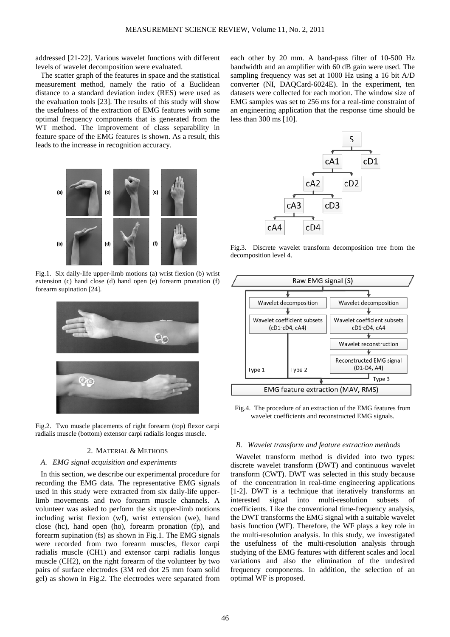addressed [21-22]. Various wavelet functions with different levels of wavelet decomposition were evaluated.

The scatter graph of the features in space and the statistical measurement method, namely the ratio of a Euclidean distance to a standard deviation index (RES) were used as the evaluation tools [23]. The results of this study will show the usefulness of the extraction of EMG features with some optimal frequency components that is generated from the WT method. The improvement of class separability in feature space of the EMG features is shown. As a result, this leads to the increase in recognition accuracy.



Fig.1. Six daily-life upper-limb motions (a) wrist flexion (b) wrist extension (c) hand close (d) hand open (e) forearm pronation (f) forearm supination [24].



Fig.2. Two muscle placements of right forearm (top) flexor carpi radialis muscle (bottom) extensor carpi radialis longus muscle.

# 2. MATERIAL & METHODS

# *A. EMG signal acquisition and experiments*

In this section, we describe our experimental procedure for recording the EMG data. The representative EMG signals used in this study were extracted from six daily-life upperlimb movements and two forearm muscle channels. A volunteer was asked to perform the six upper-limb motions including wrist flexion (wf), wrist extension (we), hand close (hc), hand open (ho), forearm pronation (fp), and forearm supination (fs) as shown in Fig.1. The EMG signals were recorded from two forearm muscles, flexor carpi radialis muscle (CH1) and extensor carpi radialis longus muscle (CH2), on the right forearm of the volunteer by two pairs of surface electrodes (3M red dot 25 mm foam solid gel) as shown in Fig.2. The electrodes were separated from each other by 20 mm. A band-pass filter of 10-500 Hz bandwidth and an amplifier with 60 dB gain were used. The sampling frequency was set at 1000 Hz using a 16 bit A/D converter (NI, DAQCard-6024E). In the experiment, ten datasets were collected for each motion. The window size of EMG samples was set to 256 ms for a real-time constraint of an engineering application that the response time should be less than 300 ms [10].



Fig.3. Discrete wavelet transform decomposition tree from the decomposition level 4.



Fig.4. The procedure of an extraction of the EMG features from wavelet coefficients and reconstructed EMG signals.

#### *B. Wavelet transform and feature extraction methods*

Wavelet transform method is divided into two types: discrete wavelet transform (DWT) and continuous wavelet transform (CWT). DWT was selected in this study because of the concentration in real-time engineering applications [1-2]. DWT is a technique that iteratively transforms an interested signal into multi-resolution subsets of coefficients. Like the conventional time-frequency analysis, the DWT transforms the EMG signal with a suitable wavelet basis function (WF). Therefore, the WF plays a key role in the multi-resolution analysis. In this study, we investigated the usefulness of the multi-resolution analysis through studying of the EMG features with different scales and local variations and also the elimination of the undesired frequency components. In addition, the selection of an optimal WF is proposed.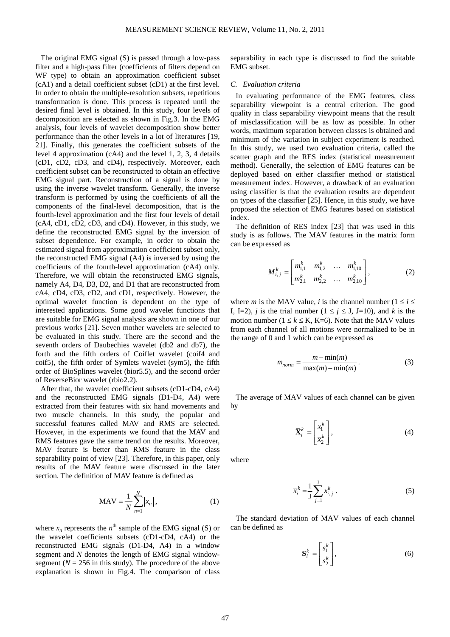The original EMG signal (S) is passed through a low-pass filter and a high-pass filter (coefficients of filters depend on WF type) to obtain an approximation coefficient subset (cA1) and a detail coefficient subset (cD1) at the first level. In order to obtain the multiple-resolution subsets, repetitious transformation is done. This process is repeated until the desired final level is obtained. In this study, four levels of decomposition are selected as shown in Fig.3. In the EMG analysis, four levels of wavelet decomposition show better performance than the other levels in a lot of literatures [19, 21]. Finally, this generates the coefficient subsets of the level 4 approximation (cA4) and the level 1, 2, 3, 4 details (cD1, cD2, cD3, and cD4), respectively. Moreover, each coefficient subset can be reconstructed to obtain an effective EMG signal part. Reconstruction of a signal is done by using the inverse wavelet transform. Generally, the inverse transform is performed by using the coefficients of all the components of the final-level decomposition, that is the fourth-level approximation and the first four levels of detail (cA4, cD1, cD2, cD3, and cD4). However, in this study, we define the reconstructed EMG signal by the inversion of subset dependence. For example, in order to obtain the estimated signal from approximation coefficient subset only, the reconstructed EMG signal (A4) is inversed by using the coefficients of the fourth-level approximation (cA4) only. Therefore, we will obtain the reconstructed EMG signals, namely A4, D4, D3, D2, and D1 that are reconstructed from cA4, cD4, cD3, cD2, and cD1, respectively. However, the optimal wavelet function is dependent on the type of interested applications. Some good wavelet functions that are suitable for EMG signal analysis are shown in one of our previous works [21]. Seven mother wavelets are selected to be evaluated in this study. There are the second and the seventh orders of Daubechies wavelet (db2 and db7), the forth and the fifth orders of Coiflet wavelet (coif4 and coif5), the fifth order of Symlets wavelet (sym5), the fifth order of BioSplines wavelet (bior5.5), and the second order of ReverseBior wavelet (rbio2.2).

After that, the wavelet coefficient subsets (cD1-cD4, cA4) and the reconstructed EMG signals (D1-D4, A4) were extracted from their features with six hand movements and two muscle channels. In this study, the popular and successful features called MAV and RMS are selected. However, in the experiments we found that the MAV and RMS features gave the same trend on the results. Moreover, MAV feature is better than RMS feature in the class separability point of view [23]. Therefore, in this paper, only results of the MAV feature were discussed in the later section. The definition of MAV feature is defined as

$$
MAV = \frac{1}{N} \sum_{n=1}^{N} |x_n|,
$$
 (1)

where  $x_n$  represents the  $n^{\text{th}}$  sample of the EMG signal (S) or the wavelet coefficients subsets (cD1-cD4, cA4) or the reconstructed EMG signals (D1-D4, A4) in a window segment and *N* denotes the length of EMG signal windowsegment ( $N = 256$  in this study). The procedure of the above explanation is shown in Fig.4. The comparison of class

separability in each type is discussed to find the suitable EMG subset.

#### *C. Evaluation criteria*

In evaluating performance of the EMG features, class separability viewpoint is a central criterion. The good quality in class separability viewpoint means that the result of misclassification will be as low as possible. In other words, maximum separation between classes is obtained and minimum of the variation in subject experiment is reached. In this study, we used two evaluation criteria, called the scatter graph and the RES index (statistical measurement method). Generally, the selection of EMG features can be deployed based on either classifier method or statistical measurement index. However, a drawback of an evaluation using classifier is that the evaluation results are dependent on types of the classifier [25]. Hence, in this study, we have proposed the selection of EMG features based on statistical index.

The definition of RES index [23] that was used in this study is as follows. The MAV features in the matrix form can be expressed as

$$
M_{i,j}^k = \begin{bmatrix} m_{1,1}^k & m_{1,2}^k & \dots & m_{1,10}^k \\ m_{2,1}^k & m_{2,2}^k & \dots & m_{2,10}^k \end{bmatrix},
$$
 (2)

where *m* is the MAV value, *i* is the channel number  $(1 \le i \le n)$ I, I=2), *j* is the trial number  $(1 \le j \le J, J=10)$ , and *k* is the motion number ( $1 \le k \le K$ , K=6). Note that the MAV values from each channel of all motions were normalized to be in the range of 0 and 1 which can be expressed as

$$
m_{norm} = \frac{m - \min(m)}{\max(m) - \min(m)}.
$$
 (3)

The average of MAV values of each channel can be given by

$$
\overline{\mathbf{X}}_i^k = \begin{bmatrix} \overline{x}_1^k \\ \overline{x}_2^k \end{bmatrix},\tag{4}
$$

where

$$
\overline{x}_i^k = \frac{1}{J} \sum_{j=1}^J x_{i,j}^k .
$$
 (5)

The standard deviation of MAV values of each channel can be defined as

$$
\mathbf{S}_i^k = \begin{bmatrix} s_1^k \\ s_2^k \end{bmatrix},\tag{6}
$$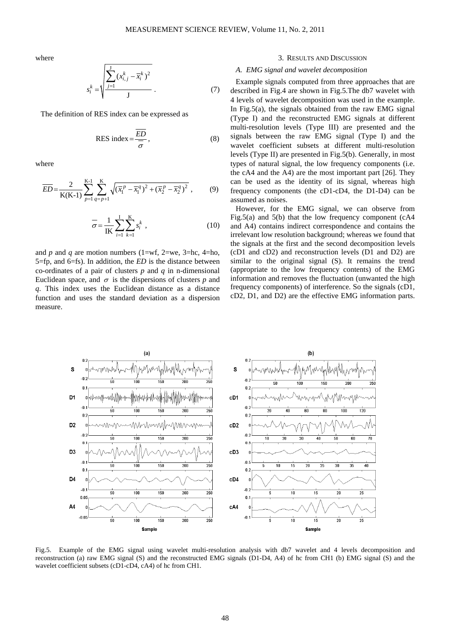where

$$
s_i^k = \sqrt{\frac{\sum_{j=1}^{\mathbf{J}} (x_{i,j}^k - \overline{x}_i^k)^2}{\mathbf{J}}} \tag{7}
$$

The definition of RES index can be expressed as

$$
RES\text{ index} = \frac{ED}{\sigma},\tag{8}
$$

where

$$
\overline{ED} = \frac{2}{K(K-1)} \sum_{p=1}^{K-1} \sum_{q=p+1}^{K} \sqrt{(\overline{x}_1^p - \overline{x}_1^q)^2 + (\overline{x}_2^p - \overline{x}_2^q)^2},
$$
(9)

$$
\overline{\sigma} = \frac{1}{IK} \sum_{i=1}^{I} \sum_{k=1}^{K} s_i^k , \qquad (10)
$$

and  $p$  and  $q$  are motion numbers (1=wf, 2=we, 3=hc, 4=ho, 5=fp, and 6=fs). In addition, the *ED* is the distance between co-ordinates of a pair of clusters *p* and *q* in n-dimensional Euclidean space, and  $\sigma$  is the dispersions of clusters *p* and  $q$ . This index uses the Euclidean distance as a distance function and uses the standard deviation as a dispersion measure.

# 3. RESULTS AND DISCUSSION

# A. EMG signal and wavelet decomposition

Example signals computed from three approaches that are d escribed in Fig.4 are shown in Fig.5.The db7 wavelet with 4 levels of wavelet decomposition was used in the example. In Fig.5(a), the signals obtained from the raw EMG signal (Type I) and the reconstructed EMG signals at different multi-resolution levels (Type III) are presented and the signals between the raw EMG signal (Type I) and the wavelet coefficient subsets at different multi-resolution levels (Type II) are presented in Fig.5(b). Generally, in most types of natural signal, the low frequency components (i.e. the cA4 and the A4) are the most important part [26]. They can be used as the identity of its signal, whereas high frequency components (the cD1-cD4, the D1-D4) can be assumed as noises.

However, for the EMG signal, we can observe from F ig.5(a) and 5(b) that the low frequency component (cA4 and A4) contains indirect correspondence and contains the irrelevant low resolution background; whereas we found that the signals at the first and the second decomposition levels (cD1 and cD2) and reconstruction levels (D1 and D2) are similar to the original signal (S). It remains the trend (appropriate to the low frequency contents) of the EMG information and removes the fluctuation (unwanted the high frequency components) of interference. So the signals (cD1, cD2, D1, and D2) are the effective EMG information parts.



Fig.5. Example of the EMG signal using wavelet multi-resolution analysis with db7 wavelet and 4 levels decomposition and reconstruction (a) raw EMG signal (S) and the reconstructed EMG signals (D1-D4, A4) of hc from CH1 (b) EMG signal (S) and the wavelet coefficient subsets (cD1-cD4, cA4) of hc from CH1.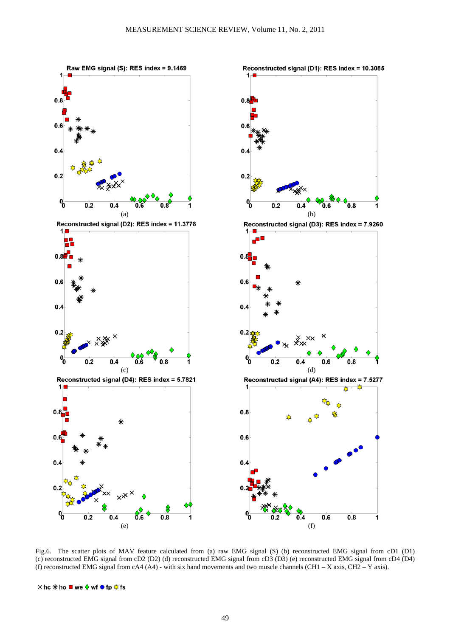

Fig.6. The scatter plots of MAV feature calculated from (a) raw EMG signal (S) (b) reconstructed EMG signal from cD1 (D1) (c) reconstructed EMG signal from cD2 (D2) (d) reconstructed EMG signal from cD3 (D3) (e) reconstructed EMG signal from cD4 (D4) (f) reconstructed EMG signal from cA4 (A4) - with six hand movements and two muscle channels (CH1 – X axis, CH2 – Y axis).

×hc \* ho ■ we ♦ wf ● fp ☆ fs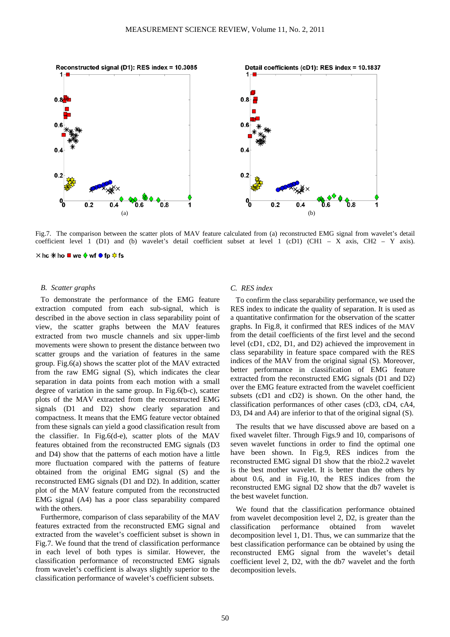

Fig.7. The comparison between the scatter plots of MAV feature calculated from (a) reconstructed EMG signal from wavelet's detail coefficient level 1 (D1) and (b) wavelet's detail coefficient subset at level 1 (cD1) (CH1 – X axis, CH2 – Y axis).

× hc \* ho ■ we ♦ wf ● fp  $\dot{\mathbf{v}}$  fs

# *B. Scatter graphs C. RES index*

To demonstrate the performance of the EMG feature extraction computed from each sub-signal, which is described in the above section in class separability point of view, the scatter graphs between the MAV features extracted from two muscle channels and six upper-limb movements were shown to present the distance between two scatter groups and the variation of features in the same group. Fig.6(a) shows the scatter plot of the MAV extracted from the raw EMG signal (S), which indicates the clear separation in data points from each motion with a small degree of variation in the same group. In Fig.6(b-c), scatter plots of the MAV extracted from the reconstructed EMG signals (D1 and D2) show clearly separation and compactness. It means that the EMG feature vector obtained from these signals can yield a good classification result from the classifier. In Fig.6(d-e), scatter plots of the MAV features obtained from the reconstructed EMG signals (D3 and D4) show that the patterns of each motion have a little more fluctuation compared with the patterns of feature obtained from the original EMG signal (S) and the reconstructed EMG signals (D1 and D2). In addition, scatter plot of the MAV feature computed from the reconstructed EMG signal (A4) has a poor class separability compared with the others.

Furthermore, comparison of class separability of the MAV features extracted from the reconstructed EMG signal and extracted from the wavelet's coefficient subset is shown in Fig.7. We found that the trend of classification performance in each level of both types is similar. However, the classification performance of reconstructed EMG signals from wavelet's coefficient is always slightly superior to the classification performance of wavelet's coefficient subsets.

To confirm the class separability performance, we used the RES index to indicate the quality of separation. It is used as a quantitative confirmation for the observation of the scatter graphs. In Fig.8, it confirmed that RES indices of the MAV from the detail coefficients of the first level and the second level (cD1, cD2, D1, and D2) achieved the improvement in class separability in feature space compared with the RES indices of the MAV from the original signal (S). Moreover, better performance in classification of EMG feature extracted from the reconstructed EMG signals (D1 and D2) over the EMG feature extracted from the wavelet coefficient subsets (cD1 and cD2) is shown. On the other hand, the classification performances of other cases (cD3, cD4, cA4, D3, D4 and A4) are inferior to that of the original signal  $(S)$ .

The results that we have discussed above are based on a fixed wavelet filter. Through Figs.9 and 10, comparisons of seven wavelet functions in order to find the optimal one have been shown. In Fig.9, RES indices from the reconstructed EMG signal D1 show that the rbio2.2 wavelet is the best mother wavelet. It is better than the others by about 0.6, and in Fig.10, the RES indices from the reconstructed EMG signal D2 show that the db7 wavelet is the best wavelet function.

We found that the classification performance obtained from wavelet decomposition level 2, D2, is greater than the classification performance obtained from wavelet decomposition level 1, D1. Thus, we can summarize that the best classification performance can be obtained by using the reconstructed EMG signal from the wavelet's detail coefficient level 2, D2, with the db7 wavelet and the forth decomposition levels.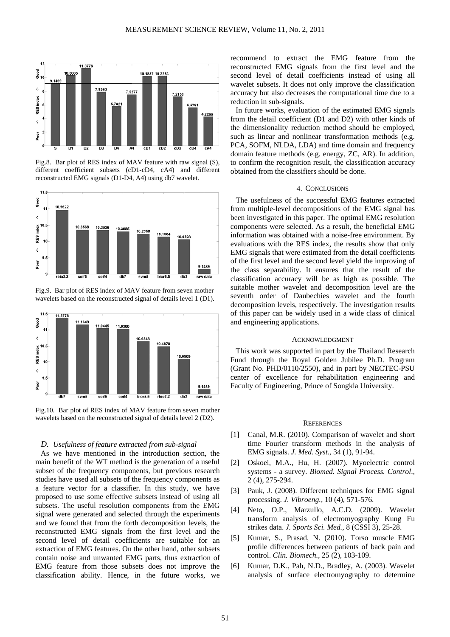

Fig.8. Bar plot of RES index of MAV feature with raw signal (S), different coefficient subsets (cD1-cD4, cA4) and different reconstructed EMG signals (D1-D4, A4) using db7 wavelet.



Fig.9. Bar plot of RES index of MAV feature from seven mother wavelets based on the reconstructed signal of details level 1 (D1).



Fig.10. Bar plot of RES index of MAV feature from seven mother wavelets based on the reconstructed signal of details level 2 (D2).

# *D. Usefulness of feature extracted from sub-signal*

As we have mentioned in the introduction section, the main benefit of the WT method is the generation of a useful subset of the frequency components, but previous research studies have used all subsets of the frequency components as a feature vector for a classifier. In this study, we have proposed to use some effective subsets instead of using all subsets. The useful resolution components from the EMG signal were generated and selected through the experiments and we found that from the forth decomposition levels, the reconstructed EMG signals from the first level and the second level of detail coefficients are suitable for an extraction of EMG features. On the other hand, other subsets contain noise and unwanted EMG parts, thus extraction of EMG feature from those subsets does not improve the classification ability. Hence, in the future works, we recommend to extract the EMG feature from the reconstructed EMG signals from the first level and the second level of detail coefficients instead of using all wavelet subsets. It does not only improve the classification accuracy but also decreases the computational time due to a reduction in sub-signals.

In future works, evaluation of the estimated EMG signals from the detail coefficient (D1 and D2) with other kinds of the dimensionality reduction method should be employed, such as linear and nonlinear transformation methods (e.g. PCA, SOFM, NLDA, LDA) and time domain and frequency domain feature methods (e.g. energy, ZC, AR). In addition, to confirm the recognition result, the classification accuracy obtained from the classifiers should be done.

# 4. CONCLUSIONS

The usefulness of the successful EMG features extracted from multiple-level decompositions of the EMG signal has been investigated in this paper. The optimal EMG resolution components were selected. As a result, the beneficial EMG information was obtained with a noise-free environment. By evaluations with the RES index, the results show that only EMG signals that were estimated from the detail coefficients of the first level and the second level yield the improving of the class separability. It ensures that the result of the classification accuracy will be as high as possible. The suitable mother wavelet and decomposition level are the seventh order of Daubechies wavelet and the fourth decomposition levels, respectively. The investigation results of this paper can be widely used in a wide class of clinical and engineering applications.

#### ACKNOWLEDGMENT

This work was supported in part by the Thailand Research Fund through the Royal Golden Jubilee Ph.D. Program (Grant No. PHD/0110/2550), and in part by NECTEC-PSU center of excellence for rehabilitation engineering and Faculty of Engineering, Prince of Songkla University.

#### **REFERENCES**

- [1] Canal, M.R. (2010). Comparison of wavelet and short time Fourier transform methods in the analysis of EMG signals. *J. Med. Syst.,* 34 (1), 91-94.
- [2] Oskoei, M.A., Hu, H. (2007). Myoelectric control systems - a survey. *Biomed. Signal Process. Control*., 2 (4), 275-294.
- [3] Pauk, J. (2008). Different techniques for EMG signal processing. *J. Vibroeng.,* 10 (4), 571-576.
- [4] Neto, O.P., Marzullo, A.C.D. (2009). Wavelet transform analysis of electromyography Kung Fu strikes data. *J. Sports Sci. Med.,* 8 (CSSI 3), 25-28.
- [5] Kumar, S., Prasad, N. (2010). Torso muscle EMG profile differences between patients of back pain and control. *Clin. Biomech.,* 25 (2), 103-109.
- [6] Kumar, D.K., Pah, N.D., Bradley, A. (2003). Wavelet analysis of surface electromyography to determine